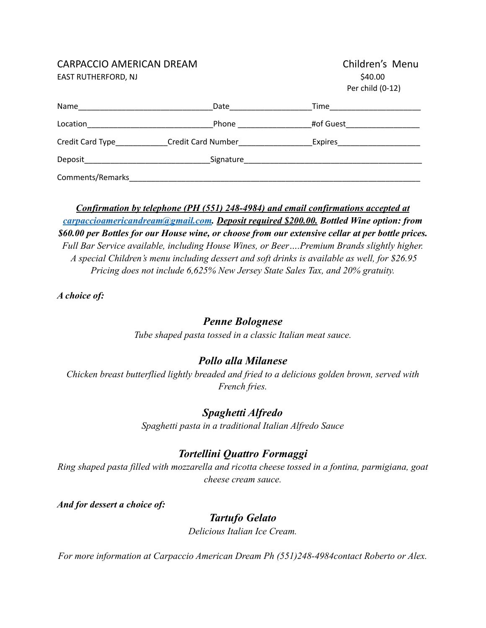### CARPACCIO AMERICAN DREAM

EAST RUTHERFORD, NJ

| Children's Menu  |  |
|------------------|--|
| \$40.00          |  |
| Per child (0-12) |  |

| Name                                                           | Date                      | Time      |  |
|----------------------------------------------------------------|---------------------------|-----------|--|
| Location<br><u> 1980 - Jan Barbara Barbara, manazarta da k</u> | Phone                     | #of Guest |  |
| Credit Card Type<br><u>Lettice</u>                             | <b>Credit Card Number</b> | Expires   |  |
| Deposit                                                        | Signature                 |           |  |
| Comments/Remarks                                               |                           |           |  |

*Confirmation by telephone (PH (551) 248-4984) and email confirmations accepted at [carpaccioamericandream@gmail.com](mailto:carpaccioamericandream@gmail.com). Deposit required \$200.00. Bottled Wine option: from \$60.00 per Bottles for our House wine, or choose from our extensive cellar at per bottle prices. Full Bar Service available, including House Wines, or Beer….Premium Brands slightly higher. A special Children's menu including dessert and soft drinks is available as well, for \$26.95 Pricing does not include 6,625% New Jersey State Sales Tax, and 20% gratuity.*

*A choice of:*

# *Penne Bolognese*

*Tube shaped pasta tossed in a classic Italian meat sauce.*

# *Pollo alla Milanese*

*Chicken breast butterflied lightly breaded and fried to a delicious golden brown, served with French fries.*

## *Spaghetti Alfredo*

*Spaghetti pasta in a traditional Italian Alfredo Sauce*

# *Tortellini Quattro Formaggi*

*Ring shaped pasta filled with mozzarella and ricotta cheese tossed in a fontina, parmigiana, goat cheese cream sauce.*

*And for dessert a choice of:*

## *Tartufo Gelato*

*Delicious Italian Ice Cream.*

*For more information at Carpaccio American Dream Ph (551)248-4984contact Roberto or Alex.*